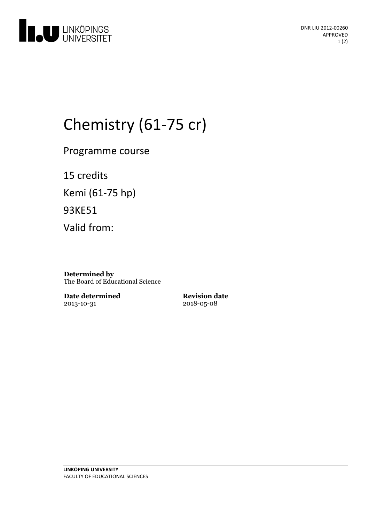

# Chemistry (61-75 cr)

Programme course

15 credits Kemi (61-75 hp) 93KE51 Valid from:

**Determined by** The Board of Educational Science

**Date determined** 2013-10-31

**Revision date** 2018-05-08